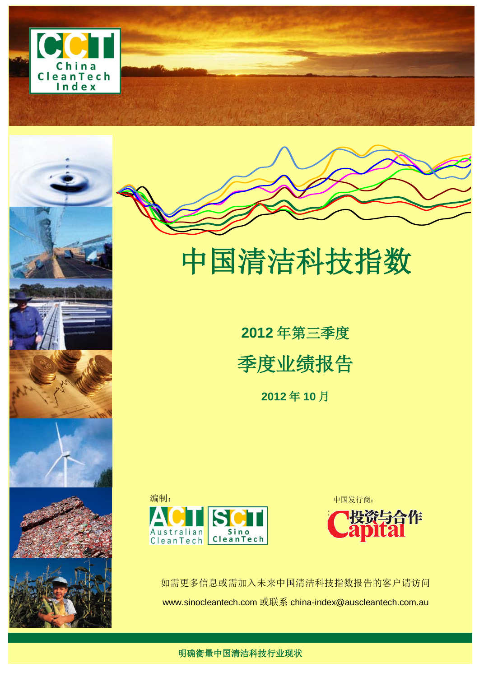





# 中国清洁科技指数

**2012** 年第三季度 季度业绩报告 **2012** 年 **10** 月





如需更多信息或需加入未来中国清洁科技指数报告的客户请访问 www.sinocleantech.com 或联系 [china-index@auscleantech.com.au](mailto:china-index@auscleantech.com.au)

明确衡量中国清洁科技行业现状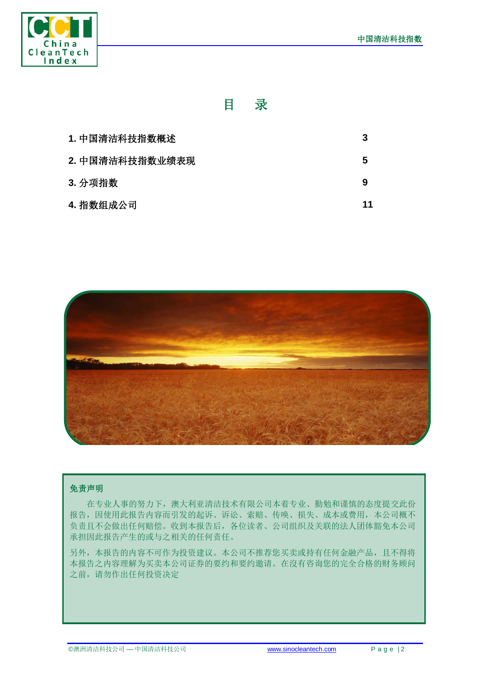

# 目录

| 1. 中国清洁科技指数概述   |    |
|-----------------|----|
| 2. 中国清洁科技指数业绩表现 | 5  |
| 3. 分项指数         |    |
| 4. 指数组成公司       | 11 |



#### 免责声明

在专业人事的努力下,澳大利亚清洁技术有限公司本着专业、勤勉和谨慎的态度提交此份 报告,因使用此报告内容而引发的起诉、诉讼、索赔、传唤、损失、成本或费用,本公司概不 负责且不会做出任何赔偿。收到本报告后,各位读者、公司组织及关联的法人团体豁免本公司 承担因此报告产生的或与之相关的任何责任。

另外,本报告的内容不可作为投资建议。本公司不推荐您买卖或持有任何金融产品,且不得将 本报告之内容理解为买卖本公司证券的要约和要约邀请。在沒有咨询您的完全合格的财务顾问 之前,请勿作出任何投资决定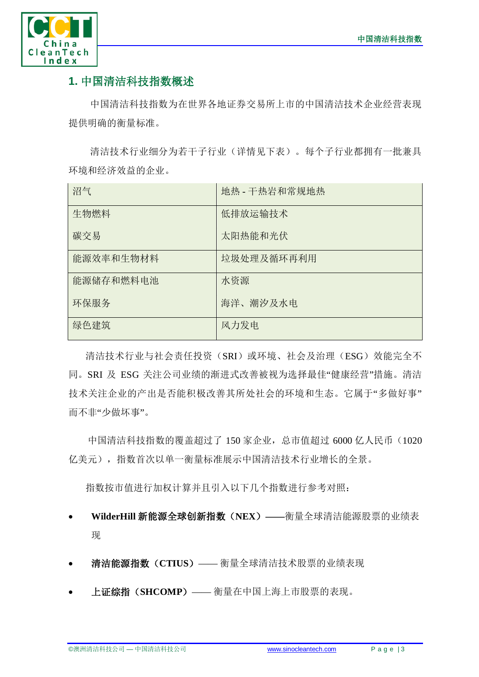

# **1.** 中国清洁科技指数概述

中国清洁科技指数为在世界各地证券交易所上市的中国清洁技术企业经营表现 提供明确的衡量标准。

清洁技术行业细分为若干子行业(详情见下表)。每个子行业都拥有一批兼具 环境和经济效益的企业。

| 沼气        | 地热 - 干热岩和常规地热 |
|-----------|---------------|
| 生物燃料      | 低排放运输技术       |
| 碳交易       | 太阳热能和光伏       |
| 能源效率和生物材料 | 垃圾处理及循环再利用    |
| 能源储存和燃料电池 | 水资源           |
| 环保服务      | 海洋、潮汐及水电      |
| 绿色建筑      | 风力发电          |

清洁技术行业与社会责任投资(SRI)或环境、社会及治理(ESG)效能完全不 同。SRI 及 ESG 关注公司业绩的渐进式改善被视为选择最佳"健康经营"措施。清洁 技术关注企业的产出是否能积极改善其所处社会的环境和生态。它属于"多做好事" 而不非"少做坏事"。

中国清洁科技指数的覆盖超过了 150 家企业,总市值超过 6000 亿人民币(1020 亿美元),指数首次以单一衡量标准展示中国清洁技术行业增长的全景。

指数按市值进行加权计算并且引入以下几个指数进行参考对照:

- **WilderHill** 新能源全球创新指数(**NEX**)**——**衡量全球清洁能源股票的业绩表 现
- 清洁能源指数(**CTIUS**)—— 衡量全球清洁技术股票的业绩表现
- 上证综指(**SHCOMP**)—— 衡量在中国上海上市股票的表现。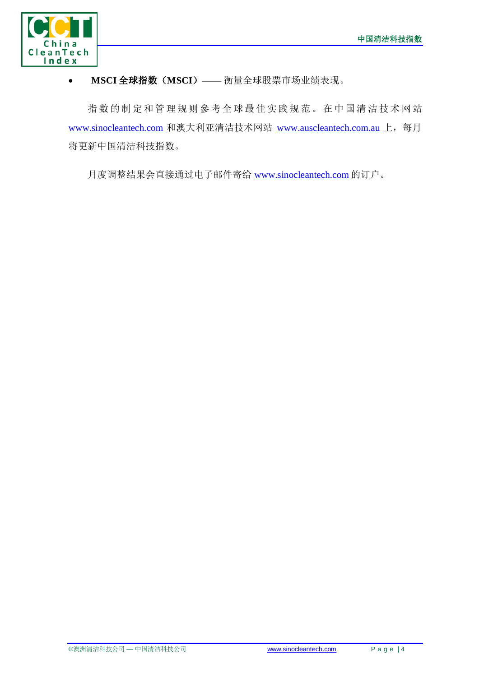

### • **MSCI** 全球指数(**MSCI**)—— 衡量全球股票市场业绩表现。

指数的制定和管理规则參考全球最佳实践规范。在中国清洁技术网站 [www.sinocleantech.com](http://www.sinocleantech.com/) 和澳大利亚清洁技术网站 [www.auscleantech.com.au](http://www.auscleantech.com.au/) 上, 每月 将更新中国清洁科技指数。

月度调整结果会直接通过电子邮件寄给 [www.sinocleantech.com](http://www.sinocleantech.com/) 的订户。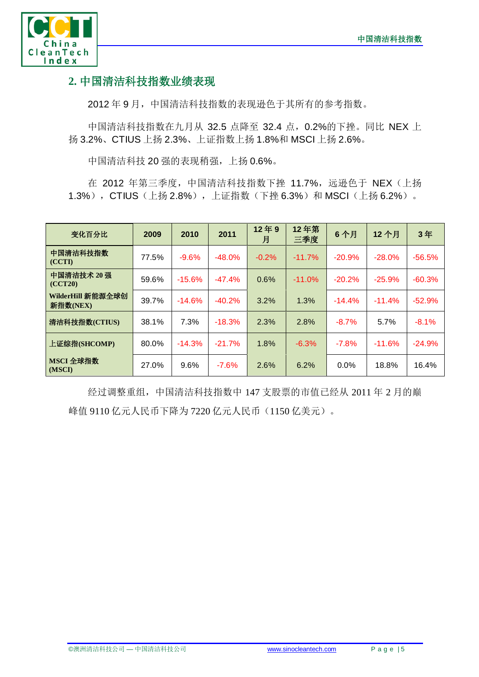

## **2.** 中国清洁科技指数业绩表现

2012 年 9 月,中国清洁科技指数的表现逊色于其所有的参考指数。

中国清洁科技指数在九月从 32.5 点降至 32.4 点, 0.2%的下挫。同比 NEX 上 扬 3.2%、CTIUS 上扬 2.3%、上证指数上扬 1.8%和 MSCI 上扬 2.6%。

中国清洁科技 20 强的表现稍强, 上扬 0.6%。

在 2012 年第三季度, 中国清洁科技指数下挫 11.7%, 远逊色于 NEX (上扬 1.3%), CTIUS (上扬 2.8%), 上证指数(下挫 6.3%)和 MSCI(上扬 6.2%)。

| 变化百分比                         | 2009  | 2010     | 2011     | 12年9<br>月 | 12年第<br>三季度 | 6个月      | 12个月     | 3年       |
|-------------------------------|-------|----------|----------|-----------|-------------|----------|----------|----------|
| 中国清洁科技指数<br>(CCTI)            | 77.5% | $-9.6%$  | $-48.0%$ | $-0.2%$   | $-11.7%$    | $-20.9%$ | $-28.0%$ | $-56.5%$ |
| 中国清洁技术 20 强<br>(CCT20)        | 59.6% | $-15.6%$ | $-47.4%$ | 0.6%      | $-11.0%$    | $-20.2%$ | $-25.9%$ | $-60.3%$ |
| WilderHill 新能源全球创<br>新指数(NEX) | 39.7% | $-14.6%$ | $-40.2%$ | 3.2%      | 1.3%        | $-14.4%$ | $-11.4%$ | $-52.9%$ |
| 清洁科技指数(CTIUS)                 | 38.1% | 7.3%     | $-18.3%$ | 2.3%      | 2.8%        | $-8.7%$  | 5.7%     | $-8.1%$  |
| 上证综指(SHCOMP)                  | 80.0% | $-14.3%$ | $-21.7%$ | 1.8%      | $-6.3%$     | $-7.8%$  | $-11.6%$ | $-24.9%$ |
| MSCI 全球指数<br>(MSCI)           | 27.0% | 9.6%     | $-7.6%$  | 2.6%      | 6.2%        | $0.0\%$  | 18.8%    | 16.4%    |

经过调整重组,中国清洁科技指数中 147 支股票的市值已经从 2011 年 2 月的巅 峰值 9110 亿元人民币下降为 7220 亿元人民币(1150 亿美元)。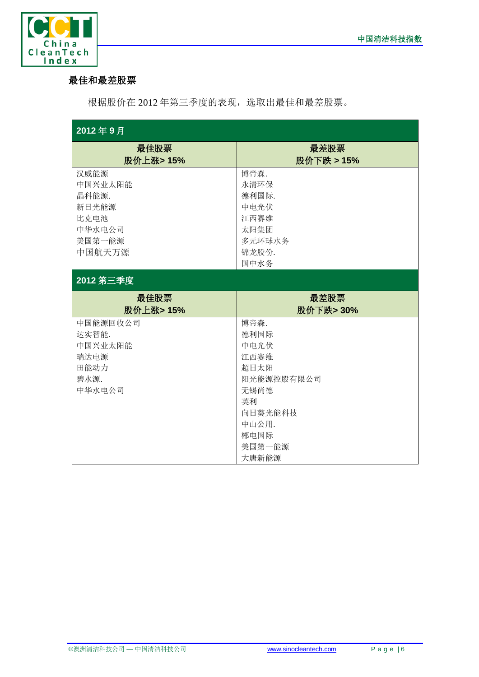

## 最佳和最差股票

根据股价在 2012 年第三季度的表现,选取出最佳和最差股票。

| 2012年9月   |            |
|-----------|------------|
| 最佳股票      | 最差股票       |
| 股价上涨>15%  | 股价下跌 > 15% |
| 汉威能源      | 博帝森.       |
| 中国兴业太阳能   | 永清环保       |
| 晶科能源.     | 德利国际.      |
| 新日光能源     | 中电光伏       |
| 比克电池      | 江西赛维       |
| 中华水电公司    | 太阳集团       |
| 美国第一能源    | 多元环球水务     |
| 中国航天万源    | 锦龙股份.      |
|           | 国中水务       |
| 2012 第三季度 |            |
|           |            |
| 最佳股票      | 最差股票       |
| 股价上涨>15%  | 股价下跌> 30%  |
| 中国能源回收公司  | 博帝森.       |
| 达实智能.     | 德利国际       |
| 中国兴业太阳能   | 中电光伏       |
| 瑞达电源      | 江西赛维       |
| 田能动力      | 超日太阳       |
| 碧水源.      | 阳光能源控股有限公司 |
| 中华水电公司    | 无锡尚德       |
|           | 英利         |
|           | 向日葵光能科技    |
|           | 中山公用.      |
|           | 郴电国际       |
|           | 美国第一能源     |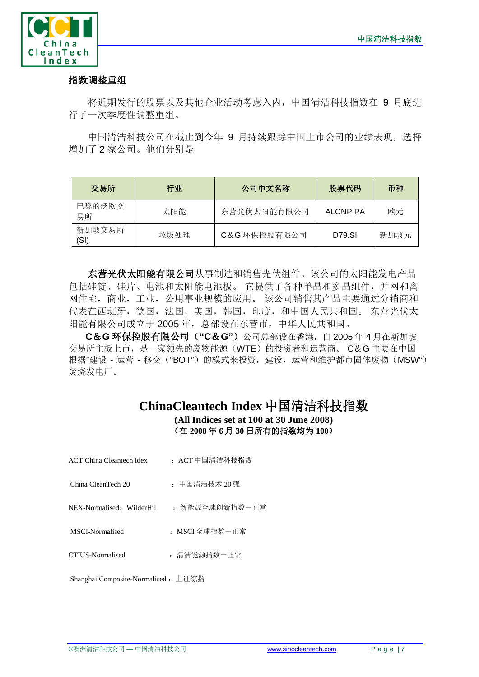

#### 指数调整重组

将近期发行的股票以及其他企业活动考虑入内,中国清洁科技指数在 9 月底进 行了一次季度性调整重组。

中国清洁科技公司在截止到今年 9 月持续跟踪中国上市公司的业绩表现, 选择 增加了 2 家公司。他们分别是

| 交易所            | 行业   | 公司中文名称       | 股票代码     | 币种   |
|----------------|------|--------------|----------|------|
| 巴黎的泛欧交<br>易所   | 太阳能  | 东营光伏太阳能有限公司  | ALCNP.PA | 欧元   |
| 新加坡交易所<br>(SI) | 垃圾处理 | C&G 环保控股有限公司 | D79.SI   | 新加坡元 |

东营光伏太阳能有限公司从事制造和销售光伏组件。该公司的太阳能发电产品 包括硅锭、硅片、电池和太阳能电池板。 它提供了各种单晶和多晶组件,并网和离 网住宅,商业,工业,公用事业规模的应用。 该公司销售其产品主要通过分销商和 代表在西班牙,德国,法国,美国,韩国,印度,和中国人民共和国。 东营光伏太 阳能有限公司成立于 2005年, 总部设在东营市, 中华人民共和国。

**C**&**G** 环保控股有限公司(**"C**&**G"**)公司总部设在香港,自 2005 年 4 月在新加坡 交易所主板上市,是一家领先的废物能源(WTE)的投资者和运营商。 C&G 主要在中国 根据"建设 - 运营 - 移交("BOT")的模式来投资,建设,运营和维护都市固体废物(MSW") 焚烧发电厂。

# **ChinaCleantech Index** 中国清洁科技指数

**(All Indices set at 100 at 30 June 2008)** (在 **2008** 年 **6** 月 **30** 日所有的指数均为 **100**)

| ACT China Cleantech Idex  | : ACT 中国清洁科技指数 |
|---------------------------|----------------|
| China CleanTech 20        | : 中国清洁技术 20 强  |
| NEX-Normalised: WilderHil | : 新能源全球创新指数-正常 |
| MSCI-Normalised           | : MSCI全球指数-正常  |
| CTIUS-Normalised          | : 清洁能源指数-正常    |
|                           |                |

Shanghai Composite-Normalised : 上证综指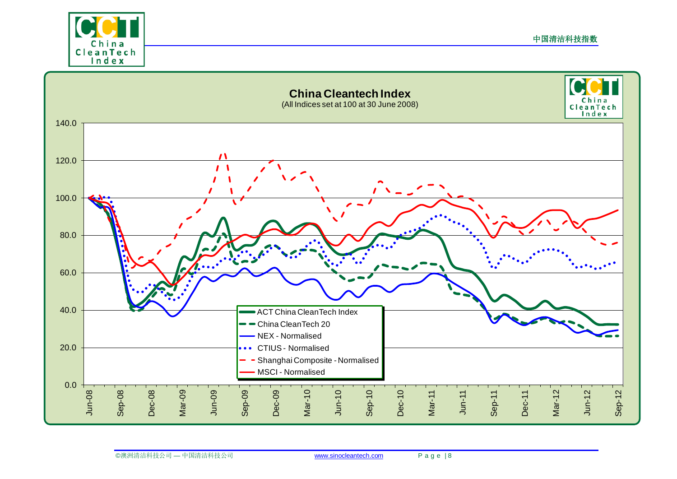

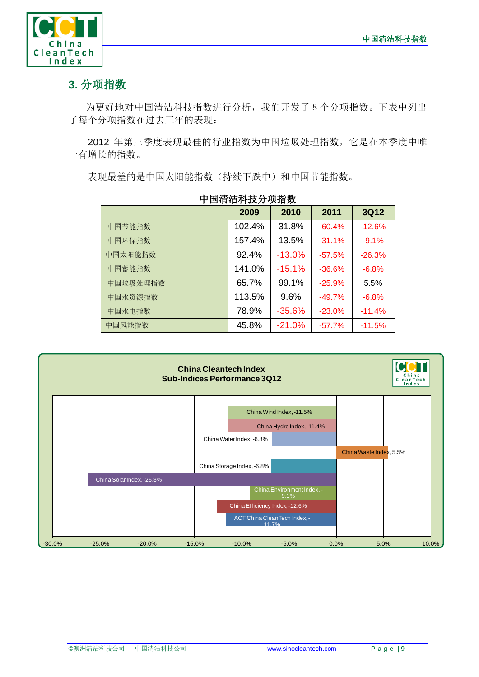

# **3.** 分项指数

为更好地对中国清洁科技指数进行分析,我们开发了8个分项指数。下表中列出 了每个分项指数在过去三年的表现:

2012 年第三季度表现最佳的行业指数为中国垃圾处理指数,它是在本季度中唯 一有增长的指数。

表现最差的是中国太阳能指数(持续下跌中)和中国节能指数。

|          | 2009   | 2010     | 2011     | <b>3Q12</b> |
|----------|--------|----------|----------|-------------|
| 中国节能指数   | 102.4% | 31.8%    | $-60.4%$ | $-12.6%$    |
| 中国环保指数   | 157.4% | 13.5%    | $-31.1%$ | $-9.1%$     |
| 中国太阳能指数  | 92.4%  | $-13.0%$ | $-57.5%$ | $-26.3%$    |
| 中国蓄能指数   | 141.0% | $-15.1%$ | $-36.6%$ | $-6.8%$     |
| 中国垃圾处理指数 | 65.7%  | 99.1%    | $-25.9%$ | 5.5%        |
| 中国水资源指数  | 113.5% | 9.6%     | $-49.7%$ | $-6.8%$     |
| 中国水电指数   | 78.9%  | $-35.6%$ | $-23.0%$ | $-11.4%$    |
| 中国风能指数   | 45.8%  | $-21.0%$ | $-57.7%$ | $-11.5%$    |

# 中国清洁科技分项指数

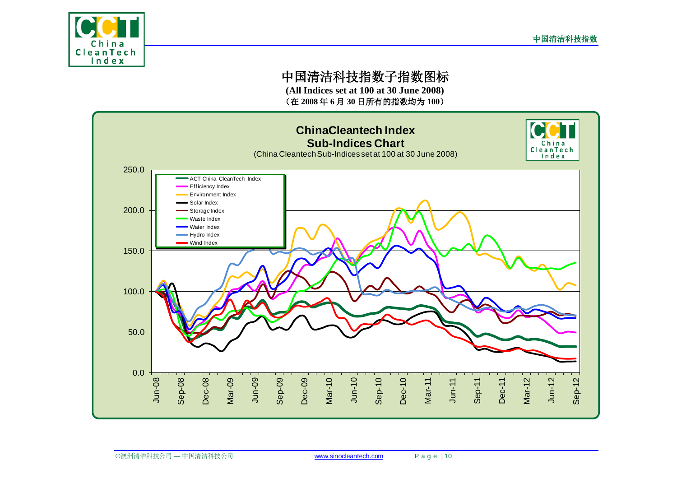

# 中国清洁科技指数子指数图标

**(All Indices set at 100 at 30 June 2008)** (在 **2008** 年 **6** 月 **30** 日所有的指数均为 **100**)